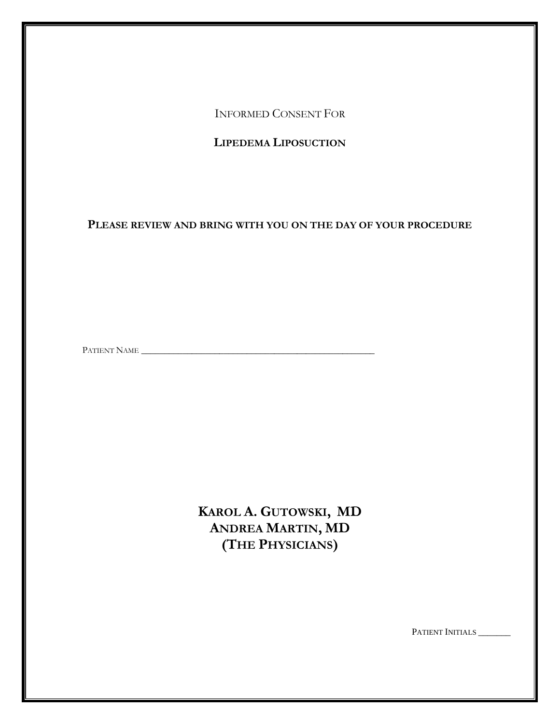INFORMED CONSENT FOR

**LIPEDEMA LIPOSUCTION**

**PLEASE REVIEW AND BRING WITH YOU ON THE DAY OF YOUR PROCEDURE**

PATIENT NAME \_\_\_\_\_\_\_\_\_\_\_\_\_\_\_\_\_\_\_\_\_\_\_\_\_\_\_\_\_\_\_\_\_\_\_\_\_\_\_\_\_\_\_\_\_\_\_\_\_\_\_

**KAROL A. GUTOWSKI, MD ANDREA MARTIN, MD (THE PHYSICIANS)**

PATIENT INITIALS \_\_\_\_\_\_\_\_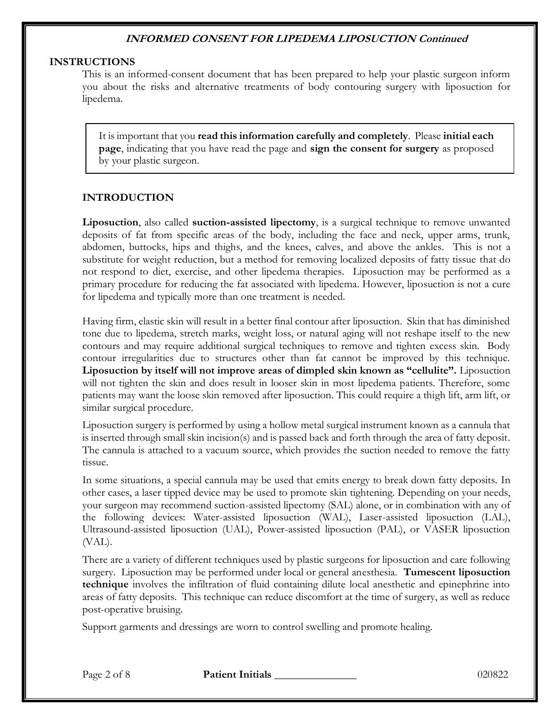#### **INSTRUCTIONS**

This is an informed-consent document that has been prepared to help your plastic surgeon inform you about the risks and alternative treatments of body contouring surgery with liposuction for lipedema.

It is important that you **read this information carefully and completely**. Please **initial each page**, indicating that you have read the page and **sign the consent for surgery** as proposed by your plastic surgeon.

#### **INTRODUCTION**

**Liposuction**, also called **suction-assisted lipectomy**, is a surgical technique to remove unwanted deposits of fat from specific areas of the body, including the face and neck, upper arms, trunk, abdomen, buttocks, hips and thighs, and the knees, calves, and above the ankles. This is not a substitute for weight reduction, but a method for removing localized deposits of fatty tissue that do not respond to diet, exercise, and other lipedema therapies. Liposuction may be performed as a primary procedure for reducing the fat associated with lipedema. However, liposuction is not a cure for lipedema and typically more than one treatment is needed.

Having firm, elastic skin will result in a better final contour after liposuction. Skin that has diminished tone due to lipedema, stretch marks, weight loss, or natural aging will not reshape itself to the new contours and may require additional surgical techniques to remove and tighten excess skin. Body contour irregularities due to structures other than fat cannot be improved by this technique. **Liposuction by itself will not improve areas of dimpled skin known as "cellulite".** Liposuction will not tighten the skin and does result in looser skin in most lipedema patients. Therefore, some patients may want the loose skin removed after liposuction. This could require a thigh lift, arm lift, or similar surgical procedure.

Liposuction surgery is performed by using a hollow metal surgical instrument known as a cannula that is inserted through small skin incision(s) and is passed back and forth through the area of fatty deposit. The cannula is attached to a vacuum source, which provides the suction needed to remove the fatty tissue.

In some situations, a special cannula may be used that emits energy to break down fatty deposits. In other cases, a laser tipped device may be used to promote skin tightening. Depending on your needs, your surgeon may recommend suction-assisted lipectomy (SAL) alone, or in combination with any of the following devices: Water-assisted liposuction (WAL), Laser-assisted liposuction (LAL), Ultrasound-assisted liposuction (UAL), Power-assisted liposuction (PAL), or VASER liposuction (VAL).

There are a variety of different techniques used by plastic surgeons for liposuction and care following surgery. Liposuction may be performed under local or general anesthesia. **Tumescent liposuction technique** involves the infiltration of fluid containing dilute local anesthetic and epinephrine into areas of fatty deposits. This technique can reduce discomfort at the time of surgery, as well as reduce post-operative bruising.

Support garments and dressings are worn to control swelling and promote healing.

Page 2 of 8 **Patient Initials 1996 Page 2 of 8** 020822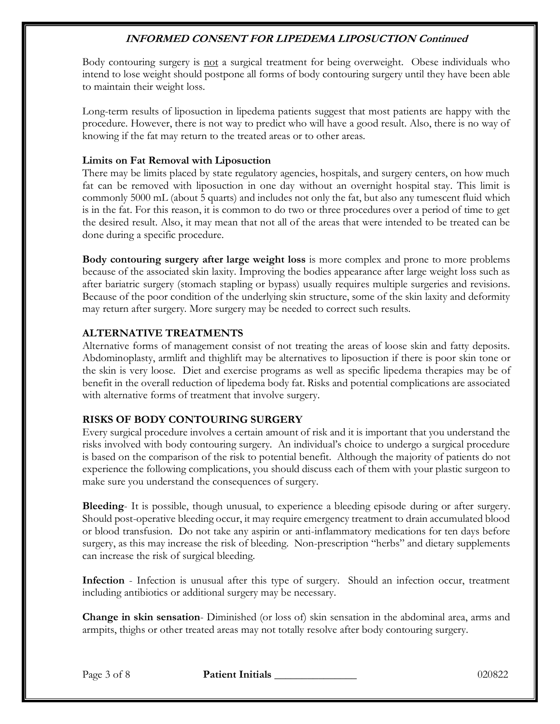Body contouring surgery is not a surgical treatment for being overweight. Obese individuals who intend to lose weight should postpone all forms of body contouring surgery until they have been able to maintain their weight loss.

Long-term results of liposuction in lipedema patients suggest that most patients are happy with the procedure. However, there is not way to predict who will have a good result. Also, there is no way of knowing if the fat may return to the treated areas or to other areas.

### **Limits on Fat Removal with Liposuction**

There may be limits placed by state regulatory agencies, hospitals, and surgery centers, on how much fat can be removed with liposuction in one day without an overnight hospital stay. This limit is commonly 5000 mL (about 5 quarts) and includes not only the fat, but also any tumescent fluid which is in the fat. For this reason, it is common to do two or three procedures over a period of time to get the desired result. Also, it may mean that not all of the areas that were intended to be treated can be done during a specific procedure.

**Body contouring surgery after large weight loss** is more complex and prone to more problems because of the associated skin laxity. Improving the bodies appearance after large weight loss such as after bariatric surgery (stomach stapling or bypass) usually requires multiple surgeries and revisions. Because of the poor condition of the underlying skin structure, some of the skin laxity and deformity may return after surgery. More surgery may be needed to correct such results.

## **ALTERNATIVE TREATMENTS**

Alternative forms of management consist of not treating the areas of loose skin and fatty deposits. Abdominoplasty, armlift and thighlift may be alternatives to liposuction if there is poor skin tone or the skin is very loose. Diet and exercise programs as well as specific lipedema therapies may be of benefit in the overall reduction of lipedema body fat. Risks and potential complications are associated with alternative forms of treatment that involve surgery.

## **RISKS OF BODY CONTOURING SURGERY**

Every surgical procedure involves a certain amount of risk and it is important that you understand the risks involved with body contouring surgery. An individual's choice to undergo a surgical procedure is based on the comparison of the risk to potential benefit. Although the majority of patients do not experience the following complications, you should discuss each of them with your plastic surgeon to make sure you understand the consequences of surgery.

**Bleeding**- It is possible, though unusual, to experience a bleeding episode during or after surgery. Should post-operative bleeding occur, it may require emergency treatment to drain accumulated blood or blood transfusion. Do not take any aspirin or anti-inflammatory medications for ten days before surgery, as this may increase the risk of bleeding. Non-prescription "herbs" and dietary supplements can increase the risk of surgical bleeding.

**Infection** - Infection is unusual after this type of surgery. Should an infection occur, treatment including antibiotics or additional surgery may be necessary.

**Change in skin sensation**- Diminished (or loss of) skin sensation in the abdominal area, arms and armpits, thighs or other treated areas may not totally resolve after body contouring surgery.

Page 3 of 8 **Patient Initials 1996 Page 3 of 8** 020822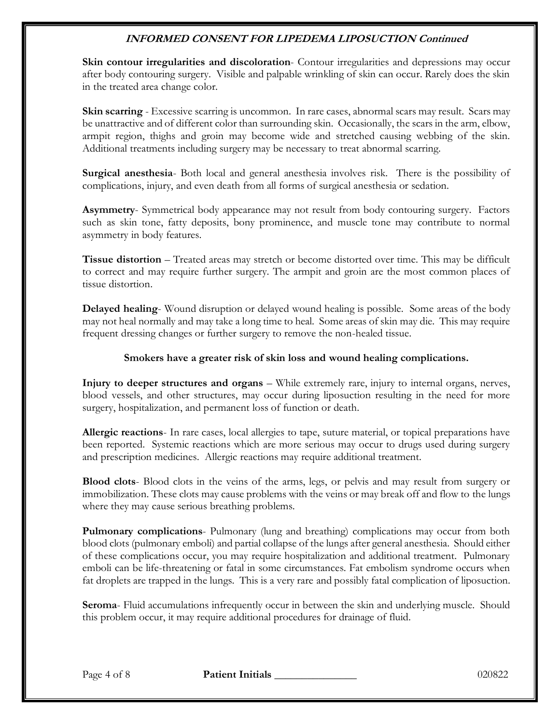**Skin contour irregularities and discoloration**- Contour irregularities and depressions may occur after body contouring surgery. Visible and palpable wrinkling of skin can occur. Rarely does the skin in the treated area change color.

**Skin scarring** - Excessive scarring is uncommon. In rare cases, abnormal scars may result. Scars may be unattractive and of different color than surrounding skin. Occasionally, the scars in the arm, elbow, armpit region, thighs and groin may become wide and stretched causing webbing of the skin. Additional treatments including surgery may be necessary to treat abnormal scarring.

**Surgical anesthesia**- Both local and general anesthesia involves risk. There is the possibility of complications, injury, and even death from all forms of surgical anesthesia or sedation.

**Asymmetry**- Symmetrical body appearance may not result from body contouring surgery. Factors such as skin tone, fatty deposits, bony prominence, and muscle tone may contribute to normal asymmetry in body features.

**Tissue distortion** – Treated areas may stretch or become distorted over time. This may be difficult to correct and may require further surgery. The armpit and groin are the most common places of tissue distortion.

**Delayed healing**- Wound disruption or delayed wound healing is possible. Some areas of the body may not heal normally and may take a long time to heal. Some areas of skin may die. This may require frequent dressing changes or further surgery to remove the non-healed tissue.

### **Smokers have a greater risk of skin loss and wound healing complications.**

**Injury to deeper structures and organs** – While extremely rare, injury to internal organs, nerves, blood vessels, and other structures, may occur during liposuction resulting in the need for more surgery, hospitalization, and permanent loss of function or death.

**Allergic reactions**- In rare cases, local allergies to tape, suture material, or topical preparations have been reported. Systemic reactions which are more serious may occur to drugs used during surgery and prescription medicines. Allergic reactions may require additional treatment.

**Blood clots**- Blood clots in the veins of the arms, legs, or pelvis and may result from surgery or immobilization. These clots may cause problems with the veins or may break off and flow to the lungs where they may cause serious breathing problems.

**Pulmonary complications**- Pulmonary (lung and breathing) complications may occur from both blood clots (pulmonary emboli) and partial collapse of the lungs after general anesthesia. Should either of these complications occur, you may require hospitalization and additional treatment. Pulmonary emboli can be life-threatening or fatal in some circumstances. Fat embolism syndrome occurs when fat droplets are trapped in the lungs. This is a very rare and possibly fatal complication of liposuction.

**Seroma**- Fluid accumulations infrequently occur in between the skin and underlying muscle. Should this problem occur, it may require additional procedures for drainage of fluid.

Page 4 of 8 **Patient Initials 1996 Page 4 of 8** 020822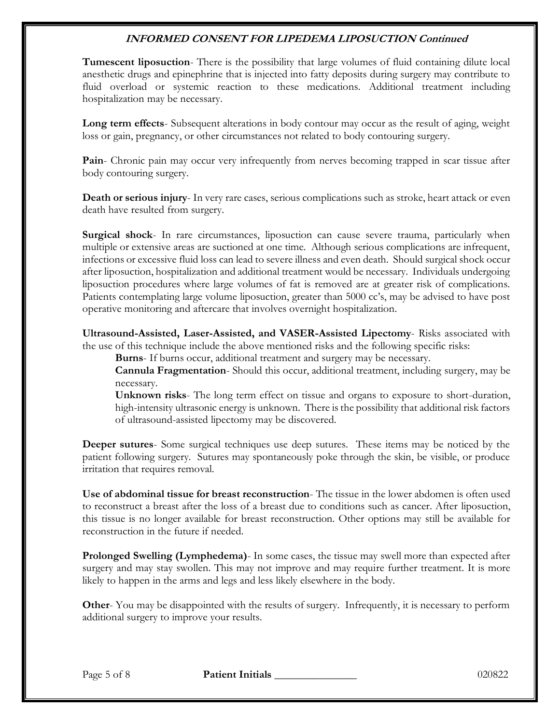**Tumescent liposuction**- There is the possibility that large volumes of fluid containing dilute local anesthetic drugs and epinephrine that is injected into fatty deposits during surgery may contribute to fluid overload or systemic reaction to these medications. Additional treatment including hospitalization may be necessary.

**Long term effects**- Subsequent alterations in body contour may occur as the result of aging, weight loss or gain, pregnancy, or other circumstances not related to body contouring surgery.

Pain- Chronic pain may occur very infrequently from nerves becoming trapped in scar tissue after body contouring surgery.

**Death or serious injury**- In very rare cases, serious complications such as stroke, heart attack or even death have resulted from surgery.

**Surgical shock**- In rare circumstances, liposuction can cause severe trauma, particularly when multiple or extensive areas are suctioned at one time. Although serious complications are infrequent, infections or excessive fluid loss can lead to severe illness and even death. Should surgical shock occur after liposuction, hospitalization and additional treatment would be necessary. Individuals undergoing liposuction procedures where large volumes of fat is removed are at greater risk of complications. Patients contemplating large volume liposuction, greater than 5000 cc's, may be advised to have post operative monitoring and aftercare that involves overnight hospitalization.

**Ultrasound-Assisted, Laser-Assisted, and VASER-Assisted Lipectomy**- Risks associated with the use of this technique include the above mentioned risks and the following specific risks:

**Burns**- If burns occur, additional treatment and surgery may be necessary.

**Cannula Fragmentation**- Should this occur, additional treatment, including surgery, may be necessary.

**Unknown risks**- The long term effect on tissue and organs to exposure to short-duration, high-intensity ultrasonic energy is unknown. There is the possibility that additional risk factors of ultrasound-assisted lipectomy may be discovered.

**Deeper sutures**- Some surgical techniques use deep sutures. These items may be noticed by the patient following surgery. Sutures may spontaneously poke through the skin, be visible, or produce irritation that requires removal.

**Use of abdominal tissue for breast reconstruction**- The tissue in the lower abdomen is often used to reconstruct a breast after the loss of a breast due to conditions such as cancer. After liposuction, this tissue is no longer available for breast reconstruction. Other options may still be available for reconstruction in the future if needed.

**Prolonged Swelling (Lymphedema)**- In some cases, the tissue may swell more than expected after surgery and may stay swollen. This may not improve and may require further treatment. It is more likely to happen in the arms and legs and less likely elsewhere in the body.

**Other-** You may be disappointed with the results of surgery. Infrequently, it is necessary to perform additional surgery to improve your results.

Page 5 of 8 **Patient Initials 1996 Page 5 of 8** 020822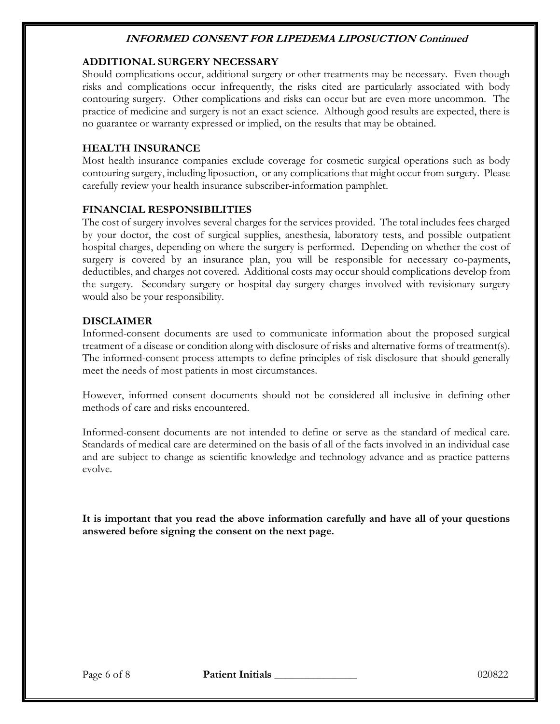### **ADDITIONAL SURGERY NECESSARY**

Should complications occur, additional surgery or other treatments may be necessary. Even though risks and complications occur infrequently, the risks cited are particularly associated with body contouring surgery. Other complications and risks can occur but are even more uncommon. The practice of medicine and surgery is not an exact science. Although good results are expected, there is no guarantee or warranty expressed or implied, on the results that may be obtained.

### **HEALTH INSURANCE**

Most health insurance companies exclude coverage for cosmetic surgical operations such as body contouring surgery, including liposuction, or any complications that might occur from surgery. Please carefully review your health insurance subscriber-information pamphlet.

### **FINANCIAL RESPONSIBILITIES**

The cost of surgery involves several charges for the services provided. The total includes fees charged by your doctor, the cost of surgical supplies, anesthesia, laboratory tests, and possible outpatient hospital charges, depending on where the surgery is performed. Depending on whether the cost of surgery is covered by an insurance plan, you will be responsible for necessary co-payments, deductibles, and charges not covered. Additional costs may occur should complications develop from the surgery. Secondary surgery or hospital day-surgery charges involved with revisionary surgery would also be your responsibility.

#### **DISCLAIMER**

Informed-consent documents are used to communicate information about the proposed surgical treatment of a disease or condition along with disclosure of risks and alternative forms of treatment(s). The informed-consent process attempts to define principles of risk disclosure that should generally meet the needs of most patients in most circumstances.

However, informed consent documents should not be considered all inclusive in defining other methods of care and risks encountered.

Informed-consent documents are not intended to define or serve as the standard of medical care. Standards of medical care are determined on the basis of all of the facts involved in an individual case and are subject to change as scientific knowledge and technology advance and as practice patterns evolve.

**It is important that you read the above information carefully and have all of your questions answered before signing the consent on the next page.**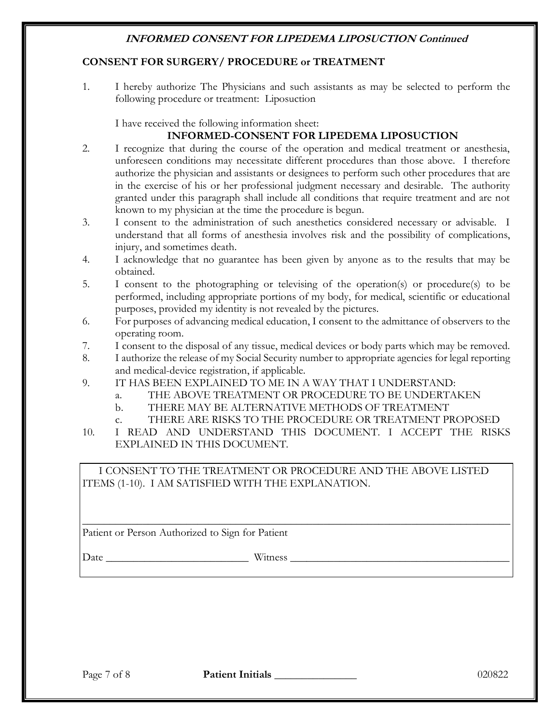### **CONSENT FOR SURGERY/ PROCEDURE or TREATMENT**

1. I hereby authorize The Physicians and such assistants as may be selected to perform the following procedure or treatment: Liposuction

I have received the following information sheet:

# **INFORMED-CONSENT FOR LIPEDEMA LIPOSUCTION**

- 2. I recognize that during the course of the operation and medical treatment or anesthesia, unforeseen conditions may necessitate different procedures than those above. I therefore authorize the physician and assistants or designees to perform such other procedures that are in the exercise of his or her professional judgment necessary and desirable. The authority granted under this paragraph shall include all conditions that require treatment and are not known to my physician at the time the procedure is begun.
- 3. I consent to the administration of such anesthetics considered necessary or advisable. I understand that all forms of anesthesia involves risk and the possibility of complications, injury, and sometimes death.
- 4. I acknowledge that no guarantee has been given by anyone as to the results that may be obtained.
- 5. I consent to the photographing or televising of the operation(s) or procedure(s) to be performed, including appropriate portions of my body, for medical, scientific or educational purposes, provided my identity is not revealed by the pictures.
- 6. For purposes of advancing medical education, I consent to the admittance of observers to the operating room.
- 7. I consent to the disposal of any tissue, medical devices or body parts which may be removed.
- 8. I authorize the release of my Social Security number to appropriate agencies for legal reporting and medical-device registration, if applicable.
- 9. IT HAS BEEN EXPLAINED TO ME IN A WAY THAT I UNDERSTAND:
	- a. THE ABOVE TREATMENT OR PROCEDURE TO BE UNDERTAKEN
	- b. THERE MAY BE ALTERNATIVE METHODS OF TREATMENT
	- c. THERE ARE RISKS TO THE PROCEDURE OR TREATMENT PROPOSED
- 10. I READ AND UNDERSTAND THIS DOCUMENT. I ACCEPT THE RISKS EXPLAINED IN THIS DOCUMENT.

I CONSENT TO THE TREATMENT OR PROCEDURE AND THE ABOVE LISTED ITEMS (1-10). I AM SATISFIED WITH THE EXPLANATION.

\_\_\_\_\_\_\_\_\_\_\_\_\_\_\_\_\_\_\_\_\_\_\_\_\_\_\_\_\_\_\_\_\_\_\_\_\_\_\_\_\_\_\_\_\_\_\_\_\_\_\_\_\_\_\_\_\_\_\_\_\_\_\_\_\_\_\_\_\_\_\_\_\_\_\_\_\_\_

Patient or Person Authorized to Sign for Patient

Date \_\_\_\_\_\_\_\_\_\_\_\_\_\_\_\_\_\_\_\_\_\_\_\_\_\_ Witness \_\_\_\_\_\_\_\_\_\_\_\_\_\_\_\_\_\_\_\_\_\_\_\_\_\_\_\_\_\_\_\_\_\_\_\_\_\_\_\_

Page 7 of 8 **Patient Initials 1998** 200822